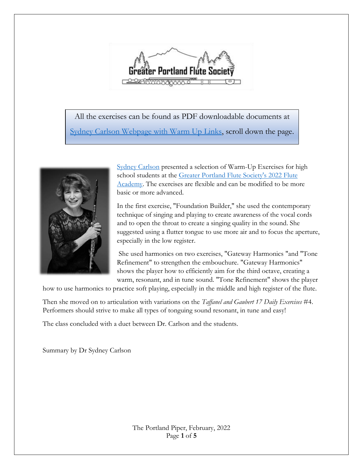

All the exercises can be found as PDF downloadable documents at [Sydney Carlson Webpage with Warm Up Links,](https://sydneycarlsonflute.com/teaching) scroll down the page.



[Sydney Carlson](https://sydneycarlsonflute.com/) presented a selection of Warm-Up Exercises for high school students at the Greater Portland Flute Society's 2022 Flute [Academy.](https://gpfs.org/Flute-Academy-Salem) The exercises are flexible and can be modified to be more basic or more advanced.

In the first exercise, "Foundation Builder," she used the contemporary technique of singing and playing to create awareness of the vocal cords and to open the throat to create a singing quality in the sound. She suggested using a flutter tongue to use more air and to focus the aperture, especially in the low register.

She used harmonics on two exercises, "Gateway Harmonics "and "Tone Refinement" to strengthen the embouchure. "Gateway Harmonics" shows the player how to efficiently aim for the third octave, creating a warm, resonant, and in tune sound. "Tone Refinement" shows the player

how to use harmonics to practice soft playing, especially in the middle and high register of the flute.

Then she moved on to articulation with variations on the *Taffanel and Gaubert 17 Daily Exercises* #4. Performers should strive to make all types of tonguing sound resonant, in tune and easy!

The class concluded with a duet between Dr. Carlson and the students.

Summary by Dr Sydney Carlson

The Portland Piper, February, 2022 Page **1** of **5**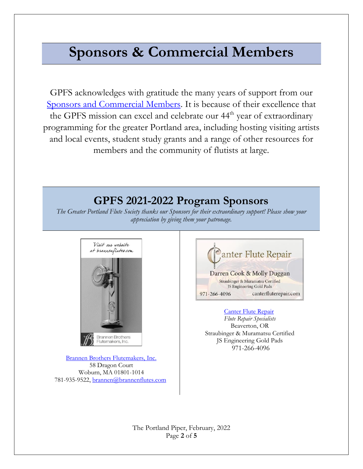# **Sponsors & Commercial Members**

GPFS acknowledges with gratitude the many years of support from our [Sponsors and Commercial Members.](https://gpfs.org/Commercial-Membership) It is because of their excellence that the GPFS mission can excel and celebrate our 44<sup>th</sup> year of extraordinary programming for the greater Portland area, including hosting visiting artists and local events, student study grants and a range of other resources for members and the community of flutists at large.

## **GPFS 2021-2022 Program Sponsors**

*The Greater Portland Flute Society thanks our Sponsors for their extraordinary support! Please show your appreciation by giving them your patronage.*



[Brannen Brothers Flutemakers, Inc.](https://www.brannenflutes.com/) 58 Dragon Court Woburn, MA 01801-1014 781-935-9522[, brannen@brannenflutes.com](mailto:brannen@brannenflutes.com)



[Canter Flute Repair](https://www.canterfluterepair.com/)

*Flute Repair Specialists* Beaverton, OR Straubinger & Muramatsu Certified JS Engineering Gold Pads 971-266-4096

The Portland Piper, February, 2022 Page **2** of **5**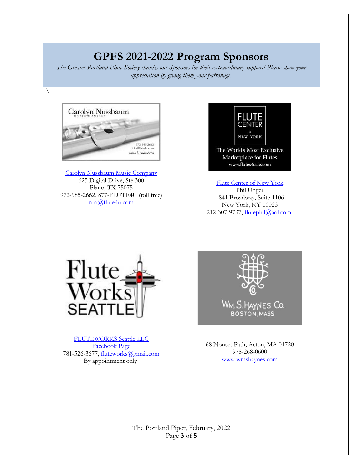# **GPFS 2021-2022 Program Sponsors**

*The Greater Portland Flute Society thanks our Sponsors for their extraordinary support! Please show your appreciation by giving them your patronage.*



 $\setminus$ 

[Carolyn Nussbaum Music Company](http://www.flute4u.com/) 625 Digital Drive, Ste 300 Plano, TX 75075 972-985-2662, 877-FLUTE4U (toll free) [info@flute4u.com](mailto:info@flute4u.com)



[Flute Center of New York](http://www.flutes4sale.com/) Phil Unger 1841 Broadway, Suite 1106 New York, NY 10023 212-307-9737, [flutephil@aol.com](mailto:flutephil@aol.com)



[FLUTEWORKS Seattle LLC](https://www.fwseattle.com/) [Facebook Page](https://www.facebook.com/fluteworksseattle/?ref=page_internal) 781-526-3677, [fluteworks@gmail.com](mailto:fluteworks@gmail.com) By appointment only



68 Nonset Path, Acton, MA 01720 978-268-0600 [www.wmshaynes.com](https://d.docs.live.net/b7076dfbb4084dbc/Documents/www.wmshaynes.com)

The Portland Piper, February, 2022 Page **3** of **5**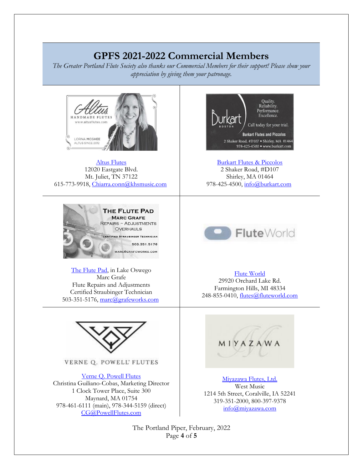### **GPFS 2021-2022 Commercial Members**

*The Greater Portland Flute Society also thanks our Commercial Members for their support! Please show your appreciation by giving them your patronage.*



[Altus Flutes](http://www.altusflutes.com/) 12020 Eastgate Blvd. Mt. Juliet, TN 37122 615-773-9918, [Chiarra.conn@khsmusic.com](mailto:Chiarra.conn@khsmusic.com)



[The Flute Pad,](https://gpfs.org/images/Marc_Grafe.pdf) in Lake Oswego Marc Grafe Flute Repairs and Adjustments Certified Straubinger Technician 503-351-5176, [marc@grafeworks.com](mailto:marc@grafeworks.com)



VERNE Q. POWELL' FLUTES

[Verne Q. Powell Flutes](https://www.powellflutes.com/en/) Christina Guiliano-Cobas, Marketing Director 1 Clock Tower Place, Suite 300 Maynard, MA 01754 978-461-6111 (main), 978-344-5159 (direct) [CG@PowellFlutes.com](https://d.docs.live.net/b7076dfbb4084dbc/Documents/CG@PowellFlutes.com)



[Burkart Flutes & Piccolos](http://www.burkart.com/) 2 Shaker Road, #D107 Shirley, MA 01464 978-425-4500, [info@burkart.com](mailto:info@burkart.com)



#### [Flute World](http://www.fluteworld.com/)

29920 Orchard Lake Rd. Farmington Hills, MI 48334 248-855-0410, [flutes@fluteworld.com](mailto:flutes@fluteworld.com)



[Miyazawa Flutes, Ltd.](https://miyazawa.com/) West Music 1214 5th Street, Coralville, IA 52241 319-351-2000, 800-397-9378 [info@miyazawa.com](https://d.docs.live.net/b7076dfbb4084dbc/Documents/info@miyazawa.com)

The Portland Piper, February, 2022 Page **4** of **5**